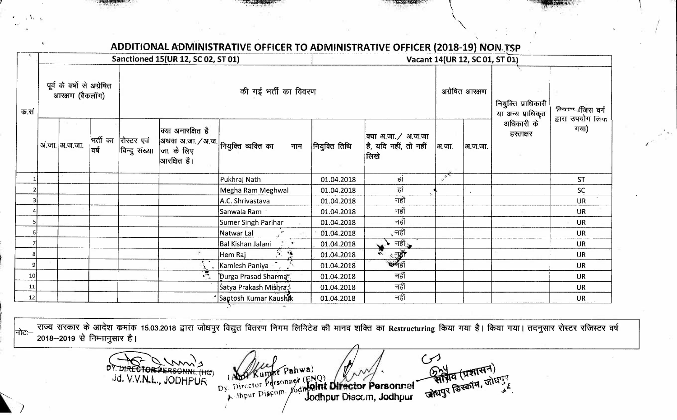*<sup>V</sup>*\

| क.सं | Sanctioned 15(UR 12, SC 02, ST 01)             |                 |      |                                       |                                                                                            | Vacant 14(UR 12, SC 01, ST 01)        |               |                                                     |                          |         |                                            |                                      |
|------|------------------------------------------------|-----------------|------|---------------------------------------|--------------------------------------------------------------------------------------------|---------------------------------------|---------------|-----------------------------------------------------|--------------------------|---------|--------------------------------------------|--------------------------------------|
|      | पूर्व के वर्षों से अग्रेषित<br>आरक्षण (बैकलॉग) |                 |      |                                       | की गई भर्ती का विवरण                                                                       |                                       |               |                                                     | अग्रेषित आरक्षण          |         | नियुक्ति प्राधिकारी  <br>या अन्य प्राधिकृत | तिवरण (जिस वर्ग<br>द्वारा उपयोग लिंक |
|      |                                                | अं.जा.  अ.ज.जा. | वर्ष | भर्ती का  रोस्टर एवं<br>बिन्दु संख्या | क्या अनारक्षित है<br> अथवा अ.जा./अ.ज. $ $ नियुक्ति व्यक्ति का<br>जा. के लिए<br>आरक्षित है। | नाम                                   | नियुक्ति तिथि | क्या अ.जा./ अ.ज.जा<br>है, यदि नहीं, तो नहीं<br>लिखे | अ.जा.                    | अ.ज.जा. | अधिकारी के<br>हस्ताक्षर                    | गया)                                 |
|      |                                                |                 |      |                                       |                                                                                            | Pukhraj Nath                          | 01.04.2018    | हां                                                 | $\overline{\phantom{a}}$ |         |                                            | <b>ST</b>                            |
|      |                                                |                 |      |                                       |                                                                                            | Megha Ram Meghwal                     | 01.04.2018    | हां                                                 |                          |         |                                            | SC                                   |
|      |                                                |                 |      |                                       |                                                                                            | A.C. Shrivastava                      | 01.04.2018    | नहीं                                                |                          |         |                                            | <b>UR</b>                            |
|      |                                                |                 |      |                                       |                                                                                            | Sanwala Ram                           | 01.04.2018    | नहीं                                                |                          |         |                                            | <b>UR</b>                            |
|      |                                                |                 |      |                                       |                                                                                            | Sumer Singh Parihar                   | 01.04.2018    | नहीं                                                |                          |         |                                            | <b>UR</b>                            |
| 6    |                                                |                 |      |                                       |                                                                                            | Natwar Lal                            | 01.04.2018    | ्नहीं                                               |                          |         |                                            | <b>UR</b>                            |
|      |                                                |                 |      |                                       |                                                                                            | <b>Bal Kishan Jalani</b><br>$\bullet$ | 01.04.2018    | नहीं                                                |                          |         |                                            | <b>UR</b>                            |
|      |                                                |                 |      |                                       |                                                                                            | $\mathcal{L}_{\mathbf{S}}$<br>Hem Raj | 01.04.2018    | नहीं<br>स्वैहों                                     |                          |         |                                            | <b>UR</b>                            |
| 9    |                                                |                 |      |                                       |                                                                                            | Kamlesh Paniya                        | 01.04.2018    |                                                     |                          |         |                                            | <b>UR</b>                            |
| 10   |                                                |                 |      |                                       | я.                                                                                         | Durga Prasad Sharma                   | 01.04.2018    | नहीं                                                |                          |         |                                            | <b>UR</b>                            |
| 11   |                                                |                 |      |                                       |                                                                                            | Satya Prakash Mishra;                 | 01.04.2018    | नहीं                                                |                          |         |                                            | <b>UR</b>                            |
| 12   |                                                |                 |      |                                       |                                                                                            | Santosh Kumar Kaushik                 | 01.04.2018    | नहीं                                                |                          |         |                                            | <b>UR</b>                            |

/

 $\frac{1}{10}$ राज्य सरकार के आदेश कमांक 15.03.2018 द्वारा जोधपुर विद्युत वितरण निगम लिभिटेड की मानव शक्ति का Restructuring किया गया है। किया गया। तदनुसार रोस्टर रजिस्टर वर्ष 2018-2019 से निम्नानुसार है।

 $\mathcal{G}$ 

क्षित (प्रशासन)<br>जीवित (प्रशासन)

DY. DIRECTORPERSONNE (HG) umar Pahwa) Dy. Director Personnel (ENQ) y. Director Personnet (ENQ)<br>y. Director Personnet (ENQ)<br>y. Shpur Discom. Jodhpur Discom, Jodhpur Jodhpur Discom, Jodhpur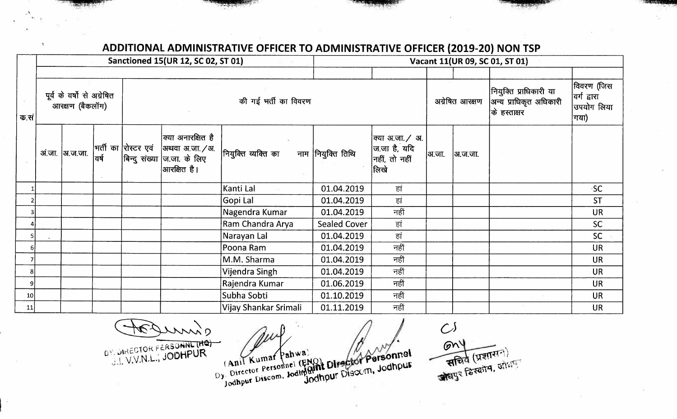## **ADDITIONAL ADMINISTRATIVE OFFICER TO ADMINISTRATIVE OFFICER (2019-20) NON TSP**

|                 | Sanctioned 15(UR 12, SC 02, ST 01)<br>$-7.7$  |                |      |                      |                                                                                                        |                       | Vacant 11(UR 09, SC 01, ST 01) |                                                          |                 |         |                                                                  |                                                 |  |
|-----------------|-----------------------------------------------|----------------|------|----------------------|--------------------------------------------------------------------------------------------------------|-----------------------|--------------------------------|----------------------------------------------------------|-----------------|---------|------------------------------------------------------------------|-------------------------------------------------|--|
| क.सं            |                                               |                |      |                      |                                                                                                        |                       |                                |                                                          |                 |         |                                                                  |                                                 |  |
|                 | पूर्व के वर्षो से अग्रेषित<br>आरक्षण (बैकलॉग) |                |      | की गई भर्ती का विवरण |                                                                                                        |                       |                                |                                                          | अग्रेषित आरक्षण |         | नियुक्ति प्राधिकारी या<br>अन्य प्राधिकृत अधिकारी<br>के हस्ताक्षर | विवरण (जिस<br>वर्ग द्वारा<br>उपयोग लिया<br>गया) |  |
|                 |                                               | अ.जा.  अ.ज.जा. | वर्ष |                      | क्या अनारक्षित है<br> भर्ती का  रोस्टर एवं  अथवा अ.जा./अ.<br>बिन्दु संख्या ज.जा. के लिए<br>आरक्षित है। | नियुक्ति व्यक्ति का   | नाम  नियुक्ति तिथि             | क्या अ.जा. / अ.<br>जिजा है, यदि<br>नहीं, तो नहीं<br>लिखे | अ.जा.           | अ.ज.जा. |                                                                  |                                                 |  |
|                 |                                               |                |      |                      |                                                                                                        | Kanti Lal             | 01.04.2019                     | हां                                                      |                 |         |                                                                  | <b>SC</b>                                       |  |
|                 |                                               |                |      |                      |                                                                                                        | Gopi Lal              | 01.04.2019                     | हां                                                      |                 |         |                                                                  | <b>ST</b>                                       |  |
|                 |                                               |                |      |                      |                                                                                                        | Nagendra Kumar        | 01.04.2019                     | नहीं                                                     |                 |         |                                                                  | <b>UR</b>                                       |  |
|                 |                                               |                |      |                      |                                                                                                        | Ram Chandra Arya      | <b>Sealed Cover</b>            | हां                                                      |                 |         |                                                                  | <b>SC</b>                                       |  |
|                 |                                               |                |      |                      |                                                                                                        | Narayan Lal           | 01.04.2019                     | हां                                                      |                 |         |                                                                  | <b>SC</b>                                       |  |
|                 |                                               |                |      |                      |                                                                                                        | Poona Ram             | 01.04.2019                     | नहीं                                                     |                 |         |                                                                  | <b>UR</b>                                       |  |
|                 |                                               |                |      |                      |                                                                                                        | M.M. Sharma           | 01.04.2019                     | नहीं                                                     |                 |         |                                                                  | <b>UR</b>                                       |  |
| 8               |                                               |                |      |                      |                                                                                                        | Vijendra Singh        | 01.04.2019                     | नहीं                                                     |                 |         |                                                                  | <b>UR</b>                                       |  |
| 9               |                                               |                |      |                      |                                                                                                        | Rajendra Kumar        | 01.06.2019                     | नहीं                                                     |                 |         |                                                                  | <b>UR</b>                                       |  |
| 10 <sub>1</sub> |                                               |                |      |                      |                                                                                                        | Subha Sobti           | 01.10.2019                     | नहीं                                                     |                 |         |                                                                  | <b>UR</b>                                       |  |
| 11              |                                               |                |      |                      |                                                                                                        | Vijay Shankar Srimali | 01.11.2019                     | नहीं                                                     |                 |         |                                                                  | <b>UR</b>                                       |  |

anne . . -r, k. f **c.f<.SONNL (r1Q)**  OY. DIRECTOR FERSOMING Y

 $\mathcal{C}^{\mathcal{S}}$  $GM<sup>4</sup>$ आय (प्रशासन)<br>सचिव (प्रशासन)